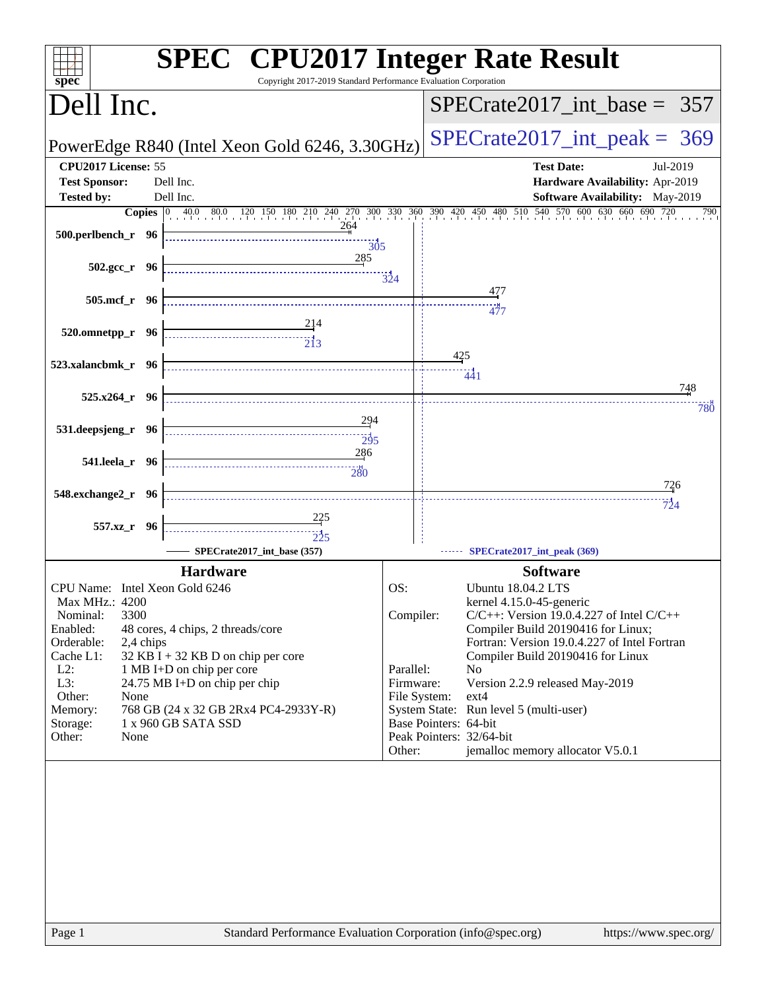| Copyright 2017-2019 Standard Performance Evaluation Corporation<br>$s\overline{p}\overline{e}\overline{c}$                                                                        | <b>SPEC<sup>®</sup></b> CPU2017 Integer Rate Result                                                                                              |
|-----------------------------------------------------------------------------------------------------------------------------------------------------------------------------------|--------------------------------------------------------------------------------------------------------------------------------------------------|
| Dell Inc.                                                                                                                                                                         | $SPECrate2017\_int\_base = 357$                                                                                                                  |
| PowerEdge R840 (Intel Xeon Gold 6246, 3.30GHz)                                                                                                                                    | $SPECrate2017\_int\_peak = 369$                                                                                                                  |
| CPU2017 License: 55<br><b>Test Sponsor:</b><br>Dell Inc.                                                                                                                          | <b>Test Date:</b><br>Jul-2019<br>Hardware Availability: Apr-2019                                                                                 |
| <b>Tested by:</b><br>Dell Inc.                                                                                                                                                    | Software Availability: May-2019                                                                                                                  |
| 264<br>500.perlbench_r 96<br>$\frac{11}{305}$                                                                                                                                     | <b>Copies</b> 0 40.0 80.0 120 150 180 210 240 270 300 330 360 390 420 450 480 510 540 570 600 630 660 690 720<br>790                             |
| 285<br>$502.\text{gcc r}$ 96                                                                                                                                                      | 324                                                                                                                                              |
| 505.mcf_r 96                                                                                                                                                                      | 477<br><br>477                                                                                                                                   |
| 520.omnetpp_r 96<br>$\begin{array}{c c c c} \hline \text{} & \text{} & \text{} \\ \hline \text{} & \text{} & \text{} \\ \hline \text{} & \text{} & \text{} \\ \hline \end{array}$ |                                                                                                                                                  |
| 523.xalancbmk_r 96                                                                                                                                                                | 425<br>441                                                                                                                                       |
| $525.x264_r$ 96                                                                                                                                                                   | 748<br>780                                                                                                                                       |
| 294<br>531.deepsjeng_r 96<br>$\overline{295}$                                                                                                                                     |                                                                                                                                                  |
| 286<br>541.leela r 96<br>$\overbrace{280}$                                                                                                                                        |                                                                                                                                                  |
| 548.exchange2_r 96                                                                                                                                                                | 726<br>$\frac{1}{724}$                                                                                                                           |
| 557.xz_r 96                                                                                                                                                                       |                                                                                                                                                  |
| SPECrate2017_int_base (357)                                                                                                                                                       | SPECrate2017_int_peak (369)                                                                                                                      |
| <b>Hardware</b>                                                                                                                                                                   | <b>Software</b>                                                                                                                                  |
| CPU Name: Intel Xeon Gold 6246<br>Max MHz.: 4200                                                                                                                                  | OS:<br>Ubuntu 18.04.2 LTS<br>kernel 4.15.0-45-generic                                                                                            |
| 3300<br>Nominal:<br>Enabled:<br>48 cores, 4 chips, 2 threads/core<br>Orderable:<br>2,4 chips                                                                                      | Compiler:<br>$C/C++$ : Version 19.0.4.227 of Intel $C/C++$<br>Compiler Build 20190416 for Linux;<br>Fortran: Version 19.0.4.227 of Intel Fortran |
| $32$ KB I + 32 KB D on chip per core<br>Cache L1:<br>$L2$ :<br>1 MB I+D on chip per core                                                                                          | Compiler Build 20190416 for Linux<br>Parallel:<br>No                                                                                             |
| L3:<br>24.75 MB I+D on chip per chip<br>Other:<br>None                                                                                                                            | Firmware:<br>Version 2.2.9 released May-2019<br>File System:<br>$ext{4}$                                                                         |
| 768 GB (24 x 32 GB 2Rx4 PC4-2933Y-R)<br>Memory:<br>1 x 960 GB SATA SSD<br>Storage:                                                                                                | System State: Run level 5 (multi-user)<br>Base Pointers: 64-bit                                                                                  |
| Other:<br>None                                                                                                                                                                    | Peak Pointers: 32/64-bit<br>jemalloc memory allocator V5.0.1<br>Other:                                                                           |
|                                                                                                                                                                                   |                                                                                                                                                  |
| Standard Performance Evaluation Corporation (info@spec.org)<br>Page 1                                                                                                             | https://www.spec.org/                                                                                                                            |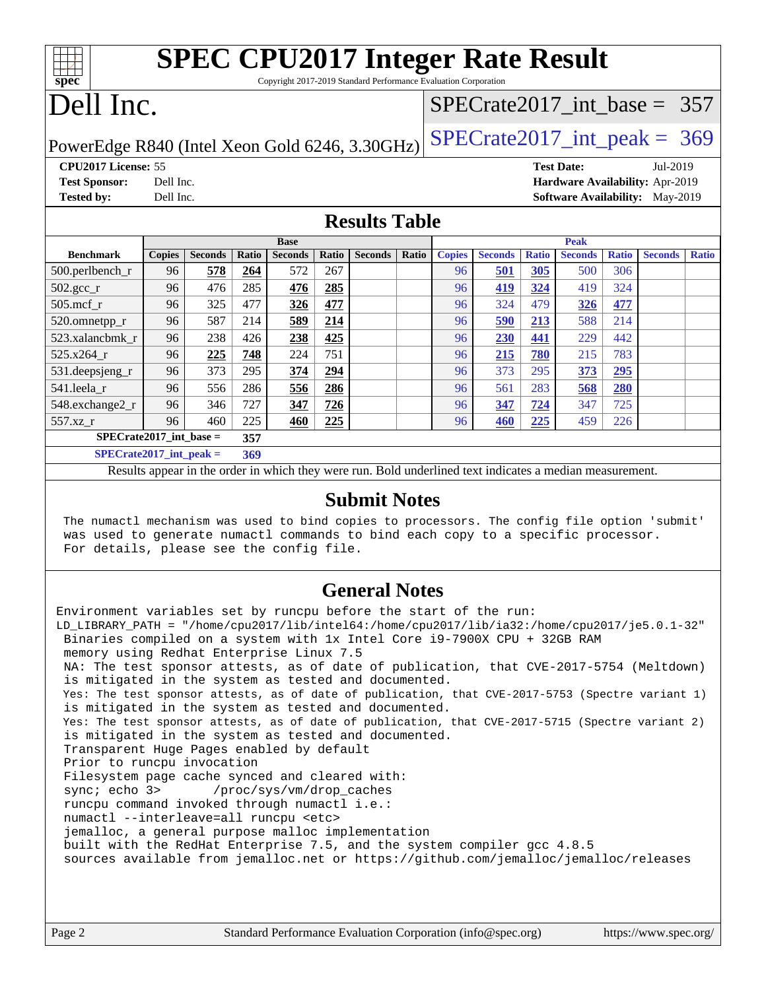| <b>SPEC CPU2017 Integer Rate Result</b><br>spec<br>Copyright 2017-2019 Standard Performance Evaluation Corporation |               |                |       |                |       |                |       |               |                |              |                |                                |                                        |              |
|--------------------------------------------------------------------------------------------------------------------|---------------|----------------|-------|----------------|-------|----------------|-------|---------------|----------------|--------------|----------------|--------------------------------|----------------------------------------|--------------|
| Dell Inc.                                                                                                          |               |                |       |                |       |                |       |               |                |              |                | $SPECTate2017$ _int_base = 357 |                                        |              |
| $SPECTate2017\_int\_peak = 369$<br>PowerEdge R840 (Intel Xeon Gold 6246, 3.30GHz)                                  |               |                |       |                |       |                |       |               |                |              |                |                                |                                        |              |
| CPU2017 License: 55<br><b>Test Date:</b><br>Jul-2019                                                               |               |                |       |                |       |                |       |               |                |              |                |                                |                                        |              |
| <b>Test Sponsor:</b><br>Dell Inc.<br>Hardware Availability: Apr-2019                                               |               |                |       |                |       |                |       |               |                |              |                |                                |                                        |              |
| <b>Tested by:</b>                                                                                                  | Dell Inc.     |                |       |                |       |                |       |               |                |              |                |                                | <b>Software Availability:</b> May-2019 |              |
| <b>Results Table</b>                                                                                               |               |                |       |                |       |                |       |               |                |              |                |                                |                                        |              |
|                                                                                                                    |               |                |       | <b>Base</b>    |       |                |       | Peak          |                |              |                |                                |                                        |              |
| <b>Benchmark</b>                                                                                                   | <b>Copies</b> | <b>Seconds</b> | Ratio | <b>Seconds</b> | Ratio | <b>Seconds</b> | Ratio | <b>Copies</b> | <b>Seconds</b> | <b>Ratio</b> | <b>Seconds</b> | <b>Ratio</b>                   | <b>Seconds</b>                         | <b>Ratio</b> |
| $500.$ perlbench_r                                                                                                 | 96            | 578            | 264   | 572            | 267   |                |       | 96            | 501            | 305          | 500            | 306                            |                                        |              |
| $502.\text{sec}$                                                                                                   | 96            | 476            | 285   | 476            | 285   |                |       | 96            | 419            | 324          | 419            | 324                            |                                        |              |
| $505$ .mcf r                                                                                                       | 96            | 325            | 477   | <b>326</b>     | 477   |                |       | 96            | 324            | 479          | <b>326</b>     | 477                            |                                        |              |
| 520.omnetpp_r                                                                                                      | 96            | 587            | 214   | 589            | 214   |                |       | 96            | 590            | 213          | 588            | 2.14                           |                                        |              |
| 523.xalancbmk r                                                                                                    | 96            | 238            | 426   | 238            | 425   |                |       | 96            | <b>230</b>     | 441          | 229            | 442                            |                                        |              |
| $525.x264$ r                                                                                                       | 96            | 225            | 748   | 224            | 751   |                |       | 96            | <b>215</b>     | 780          | 215            | 783                            |                                        |              |
| 531.deepsjeng_r                                                                                                    | 96            | 373            | 295   | 374            | 294   |                |       | 96            | 373            | 295          | 373            | 295                            |                                        |              |
| 541.leela r                                                                                                        | 96            | 556            | 286   | 556            | 286   |                |       | 96            | 561            | 283          | 568            | 280                            |                                        |              |
| 548.exchange2_r                                                                                                    | 96            | 346            | 727   | 347            | 726   |                |       | 96            | 347            | 724          | 347            | 725                            |                                        |              |
| 557.xz r                                                                                                           | 96            | 460            | 225   | 460            | 225   |                |       | 96            | 460            | 225          | 459            | 226                            |                                        |              |
| $SPECrate2017$ int base =<br>357                                                                                   |               |                |       |                |       |                |       |               |                |              |                |                                |                                        |              |

**[SPECrate2017\\_int\\_peak =](http://www.spec.org/auto/cpu2017/Docs/result-fields.html#SPECrate2017intpeak) 369**

Results appear in the [order in which they were run](http://www.spec.org/auto/cpu2017/Docs/result-fields.html#RunOrder). Bold underlined text [indicates a median measurement](http://www.spec.org/auto/cpu2017/Docs/result-fields.html#Median).

#### **[Submit Notes](http://www.spec.org/auto/cpu2017/Docs/result-fields.html#SubmitNotes)**

 The numactl mechanism was used to bind copies to processors. The config file option 'submit' was used to generate numactl commands to bind each copy to a specific processor. For details, please see the config file.

### **[General Notes](http://www.spec.org/auto/cpu2017/Docs/result-fields.html#GeneralNotes)**

Environment variables set by runcpu before the start of the run: LD\_LIBRARY\_PATH = "/home/cpu2017/lib/intel64:/home/cpu2017/lib/ia32:/home/cpu2017/je5.0.1-32" Binaries compiled on a system with 1x Intel Core i9-7900X CPU + 32GB RAM memory using Redhat Enterprise Linux 7.5 NA: The test sponsor attests, as of date of publication, that CVE-2017-5754 (Meltdown) is mitigated in the system as tested and documented. Yes: The test sponsor attests, as of date of publication, that CVE-2017-5753 (Spectre variant 1) is mitigated in the system as tested and documented. Yes: The test sponsor attests, as of date of publication, that CVE-2017-5715 (Spectre variant 2) is mitigated in the system as tested and documented. Transparent Huge Pages enabled by default Prior to runcpu invocation Filesystem page cache synced and cleared with: sync; echo 3> /proc/sys/vm/drop\_caches runcpu command invoked through numactl i.e.: numactl --interleave=all runcpu <etc> jemalloc, a general purpose malloc implementation built with the RedHat Enterprise 7.5, and the system compiler gcc 4.8.5 sources available from jemalloc.net or <https://github.com/jemalloc/jemalloc/releases>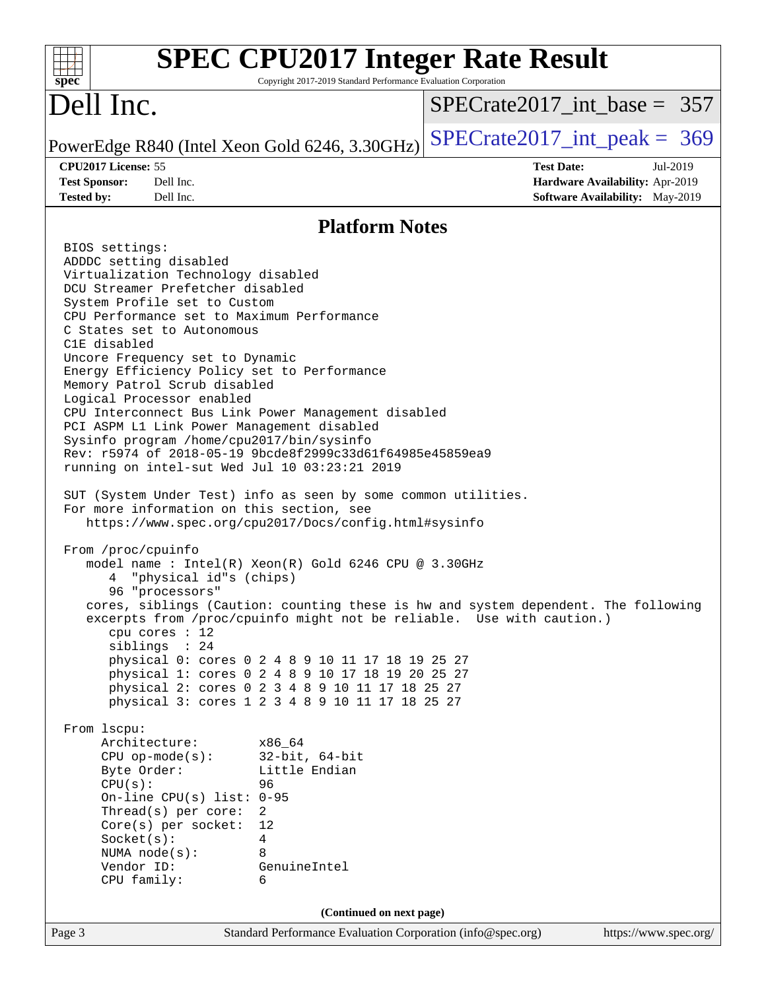| $spec^*$                                                                                                                                                                                                                                                                                                                                                                                                                                                                                                                                                                                                                                                                                                                                                                                                                                                                                                                                                                                                                                                                                                                                                                                                                                                        | Copyright 2017-2019 Standard Performance Evaluation Corporation                                                                                                                                                                                                                           | <b>SPEC CPU2017 Integer Rate Result</b>                                                                                                                     |                       |
|-----------------------------------------------------------------------------------------------------------------------------------------------------------------------------------------------------------------------------------------------------------------------------------------------------------------------------------------------------------------------------------------------------------------------------------------------------------------------------------------------------------------------------------------------------------------------------------------------------------------------------------------------------------------------------------------------------------------------------------------------------------------------------------------------------------------------------------------------------------------------------------------------------------------------------------------------------------------------------------------------------------------------------------------------------------------------------------------------------------------------------------------------------------------------------------------------------------------------------------------------------------------|-------------------------------------------------------------------------------------------------------------------------------------------------------------------------------------------------------------------------------------------------------------------------------------------|-------------------------------------------------------------------------------------------------------------------------------------------------------------|-----------------------|
| Dell Inc.                                                                                                                                                                                                                                                                                                                                                                                                                                                                                                                                                                                                                                                                                                                                                                                                                                                                                                                                                                                                                                                                                                                                                                                                                                                       |                                                                                                                                                                                                                                                                                           | $SPECrate2017\_int\_base = 357$                                                                                                                             |                       |
| PowerEdge R840 (Intel Xeon Gold 6246, 3.30GHz)                                                                                                                                                                                                                                                                                                                                                                                                                                                                                                                                                                                                                                                                                                                                                                                                                                                                                                                                                                                                                                                                                                                                                                                                                  |                                                                                                                                                                                                                                                                                           | $SPECrate2017\_int\_peak = 369$                                                                                                                             |                       |
| CPU2017 License: 55<br><b>Test Sponsor:</b><br>Dell Inc.<br>Dell Inc.<br><b>Tested by:</b>                                                                                                                                                                                                                                                                                                                                                                                                                                                                                                                                                                                                                                                                                                                                                                                                                                                                                                                                                                                                                                                                                                                                                                      |                                                                                                                                                                                                                                                                                           | <b>Test Date:</b><br>Hardware Availability: Apr-2019<br>Software Availability: May-2019                                                                     | Jul-2019              |
|                                                                                                                                                                                                                                                                                                                                                                                                                                                                                                                                                                                                                                                                                                                                                                                                                                                                                                                                                                                                                                                                                                                                                                                                                                                                 | <b>Platform Notes</b>                                                                                                                                                                                                                                                                     |                                                                                                                                                             |                       |
| BIOS settings:<br>ADDDC setting disabled<br>Virtualization Technology disabled<br>DCU Streamer Prefetcher disabled<br>System Profile set to Custom<br>CPU Performance set to Maximum Performance<br>C States set to Autonomous<br>C1E disabled<br>Uncore Frequency set to Dynamic<br>Energy Efficiency Policy set to Performance<br>Memory Patrol Scrub disabled<br>Logical Processor enabled<br>CPU Interconnect Bus Link Power Management disabled<br>PCI ASPM L1 Link Power Management disabled<br>Sysinfo program /home/cpu2017/bin/sysinfo<br>Rev: r5974 of 2018-05-19 9bcde8f2999c33d61f64985e45859ea9<br>running on intel-sut Wed Jul 10 03:23:21 2019<br>SUT (System Under Test) info as seen by some common utilities.<br>For more information on this section, see<br>https://www.spec.org/cpu2017/Docs/config.html#sysinfo<br>From /proc/cpuinfo<br>model name : Intel(R) Xeon(R) Gold 6246 CPU @ 3.30GHz<br>"physical id"s (chips)<br>96 "processors"<br>cpu cores $: 12$<br>siblings : 24<br>From 1scpu:<br>Architecture:<br>$CPU$ op-mode(s):<br>Byte Order:<br>CPU(s):<br>On-line CPU(s) list: $0-95$<br>Thread(s) per core:<br>$\overline{2}$<br>Core(s) per socket:<br>Socket(s):<br>4<br>NUMA node(s):<br>8<br>Vendor ID:<br>CPU family:<br>6 | physical 0: cores 0 2 4 8 9 10 11 17 18 19 25 27<br>physical 1: cores 0 2 4 8 9 10 17 18 19 20 25 27<br>physical 2: cores 0 2 3 4 8 9 10 11 17 18 25 27<br>physical 3: cores 1 2 3 4 8 9 10 11 17 18 25 27<br>x86 64<br>$32$ -bit, $64$ -bit<br>Little Endian<br>96<br>12<br>GenuineIntel | cores, siblings (Caution: counting these is hw and system dependent. The following<br>excerpts from /proc/cpuinfo might not be reliable. Use with caution.) |                       |
|                                                                                                                                                                                                                                                                                                                                                                                                                                                                                                                                                                                                                                                                                                                                                                                                                                                                                                                                                                                                                                                                                                                                                                                                                                                                 | (Continued on next page)                                                                                                                                                                                                                                                                  |                                                                                                                                                             |                       |
| Page 3                                                                                                                                                                                                                                                                                                                                                                                                                                                                                                                                                                                                                                                                                                                                                                                                                                                                                                                                                                                                                                                                                                                                                                                                                                                          | Standard Performance Evaluation Corporation (info@spec.org)                                                                                                                                                                                                                               |                                                                                                                                                             | https://www.spec.org/ |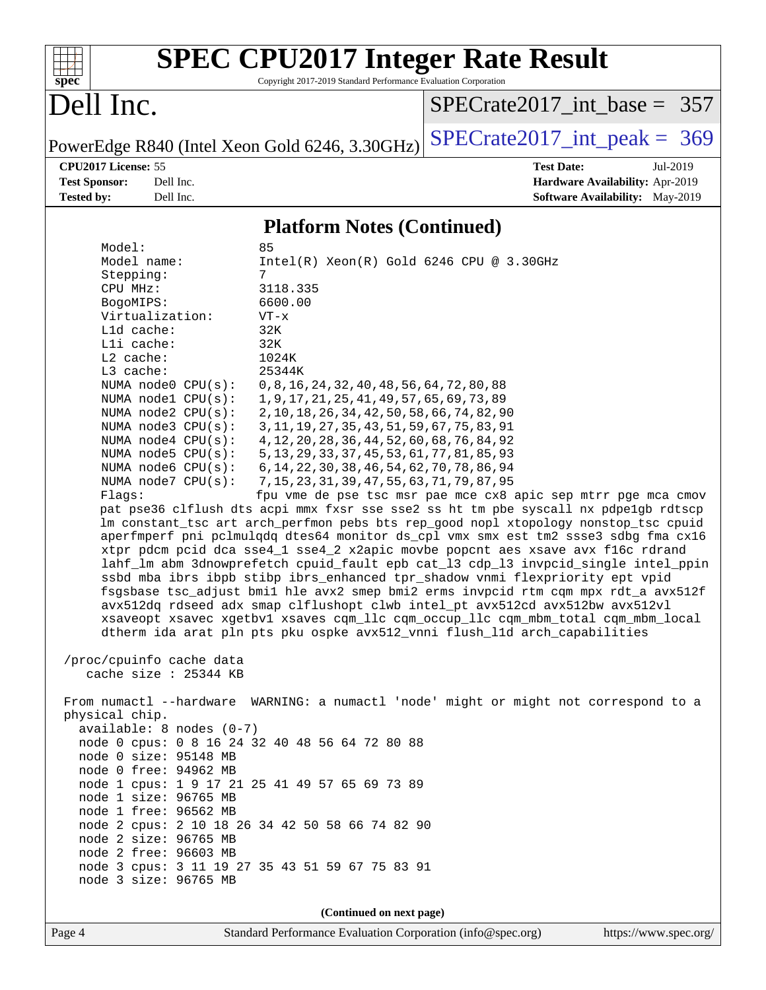

# **[SPEC CPU2017 Integer Rate Result](http://www.spec.org/auto/cpu2017/Docs/result-fields.html#SPECCPU2017IntegerRateResult)**

Copyright 2017-2019 Standard Performance Evaluation Corporation

## Dell Inc.

[SPECrate2017\\_int\\_base =](http://www.spec.org/auto/cpu2017/Docs/result-fields.html#SPECrate2017intbase) 357

PowerEdge R840 (Intel Xeon Gold 6246, 3.30GHz)  $\text{SPECrate2017\_int\_peak} = 369$ 

**[CPU2017 License:](http://www.spec.org/auto/cpu2017/Docs/result-fields.html#CPU2017License)** 55 **[Test Date:](http://www.spec.org/auto/cpu2017/Docs/result-fields.html#TestDate)** Jul-2019 **[Test Sponsor:](http://www.spec.org/auto/cpu2017/Docs/result-fields.html#TestSponsor)** Dell Inc. **[Hardware Availability:](http://www.spec.org/auto/cpu2017/Docs/result-fields.html#HardwareAvailability)** Apr-2019 **[Tested by:](http://www.spec.org/auto/cpu2017/Docs/result-fields.html#Testedby)** Dell Inc. Dell Inc. **[Software Availability:](http://www.spec.org/auto/cpu2017/Docs/result-fields.html#SoftwareAvailability)** May-2019

### **[Platform Notes \(Continued\)](http://www.spec.org/auto/cpu2017/Docs/result-fields.html#PlatformNotes)**

| Model:                                                                  | 85                                                                                                                                                                         |  |  |  |  |  |  |  |
|-------------------------------------------------------------------------|----------------------------------------------------------------------------------------------------------------------------------------------------------------------------|--|--|--|--|--|--|--|
| Model name:                                                             | $Intel(R)$ Xeon $(R)$ Gold 6246 CPU @ 3.30GHz                                                                                                                              |  |  |  |  |  |  |  |
| Stepping:                                                               | 7                                                                                                                                                                          |  |  |  |  |  |  |  |
| CPU MHz:                                                                | 3118.335                                                                                                                                                                   |  |  |  |  |  |  |  |
| BogoMIPS:                                                               | 6600.00                                                                                                                                                                    |  |  |  |  |  |  |  |
| Virtualization:                                                         | $VT - x$                                                                                                                                                                   |  |  |  |  |  |  |  |
| Lld cache:                                                              | 32K                                                                                                                                                                        |  |  |  |  |  |  |  |
| Lli cache:<br>L2 cache:                                                 | 32K<br>1024K                                                                                                                                                               |  |  |  |  |  |  |  |
| L3 cache:                                                               | 25344K                                                                                                                                                                     |  |  |  |  |  |  |  |
| NUMA node0 CPU(s):                                                      | 0, 8, 16, 24, 32, 40, 48, 56, 64, 72, 80, 88                                                                                                                               |  |  |  |  |  |  |  |
| NUMA nodel CPU(s):                                                      | 1, 9, 17, 21, 25, 41, 49, 57, 65, 69, 73, 89                                                                                                                               |  |  |  |  |  |  |  |
| NUMA node2 CPU(s):                                                      | 2, 10, 18, 26, 34, 42, 50, 58, 66, 74, 82, 90                                                                                                                              |  |  |  |  |  |  |  |
| NUMA $node3$ $CPU(s):$                                                  | 3, 11, 19, 27, 35, 43, 51, 59, 67, 75, 83, 91                                                                                                                              |  |  |  |  |  |  |  |
| NUMA node4 CPU(s):                                                      | 4, 12, 20, 28, 36, 44, 52, 60, 68, 76, 84, 92                                                                                                                              |  |  |  |  |  |  |  |
| NUMA node5 $CPU(s):$                                                    | 5, 13, 29, 33, 37, 45, 53, 61, 77, 81, 85, 93                                                                                                                              |  |  |  |  |  |  |  |
| NUMA $node6$ $CPU(s):$                                                  | 6, 14, 22, 30, 38, 46, 54, 62, 70, 78, 86, 94                                                                                                                              |  |  |  |  |  |  |  |
| NUMA node7 CPU(s):                                                      | 7, 15, 23, 31, 39, 47, 55, 63, 71, 79, 87, 95                                                                                                                              |  |  |  |  |  |  |  |
| Flaqs:                                                                  | fpu vme de pse tsc msr pae mce cx8 apic sep mtrr pge mca cmov                                                                                                              |  |  |  |  |  |  |  |
|                                                                         | pat pse36 clflush dts acpi mmx fxsr sse sse2 ss ht tm pbe syscall nx pdpelgb rdtscp<br>lm constant_tsc art arch_perfmon pebs bts rep_good nopl xtopology nonstop_tsc cpuid |  |  |  |  |  |  |  |
|                                                                         | aperfmperf pni pclmulqdq dtes64 monitor ds_cpl vmx smx est tm2 ssse3 sdbg fma cx16                                                                                         |  |  |  |  |  |  |  |
|                                                                         | xtpr pdcm pcid dca sse4_1 sse4_2 x2apic movbe popcnt aes xsave avx f16c rdrand                                                                                             |  |  |  |  |  |  |  |
|                                                                         | lahf_lm abm 3dnowprefetch cpuid_fault epb cat_13 cdp_13 invpcid_single intel_ppin                                                                                          |  |  |  |  |  |  |  |
|                                                                         | ssbd mba ibrs ibpb stibp ibrs_enhanced tpr_shadow vnmi flexpriority ept vpid                                                                                               |  |  |  |  |  |  |  |
|                                                                         | fsgsbase tsc_adjust bmil hle avx2 smep bmi2 erms invpcid rtm cqm mpx rdt_a avx512f                                                                                         |  |  |  |  |  |  |  |
|                                                                         | avx512dq rdseed adx smap clflushopt clwb intel_pt avx512cd avx512bw avx512vl                                                                                               |  |  |  |  |  |  |  |
|                                                                         | xsaveopt xsavec xgetbvl xsaves cqm_llc cqm_occup_llc cqm_mbm_total cqm_mbm_local                                                                                           |  |  |  |  |  |  |  |
|                                                                         | dtherm ida arat pln pts pku ospke avx512_vnni flush_lld arch_capabilities                                                                                                  |  |  |  |  |  |  |  |
| /proc/cpuinfo cache data                                                |                                                                                                                                                                            |  |  |  |  |  |  |  |
| cache size : 25344 KB                                                   |                                                                                                                                                                            |  |  |  |  |  |  |  |
|                                                                         |                                                                                                                                                                            |  |  |  |  |  |  |  |
|                                                                         | From numactl --hardware WARNING: a numactl 'node' might or might not correspond to a                                                                                       |  |  |  |  |  |  |  |
| physical chip.                                                          |                                                                                                                                                                            |  |  |  |  |  |  |  |
| $available: 8 nodes (0-7)$                                              |                                                                                                                                                                            |  |  |  |  |  |  |  |
| node 0 cpus: 0 8 16 24 32 40 48 56 64 72 80 88                          |                                                                                                                                                                            |  |  |  |  |  |  |  |
| node 0 size: 95148 MB                                                   |                                                                                                                                                                            |  |  |  |  |  |  |  |
| node 0 free: 94962 MB<br>node 1 cpus: 1 9 17 21 25 41 49 57 65 69 73 89 |                                                                                                                                                                            |  |  |  |  |  |  |  |
| node 1 size: 96765 MB                                                   |                                                                                                                                                                            |  |  |  |  |  |  |  |
| node 1 free: 96562 MB                                                   |                                                                                                                                                                            |  |  |  |  |  |  |  |
|                                                                         | node 2 cpus: 2 10 18 26 34 42 50 58 66 74 82 90                                                                                                                            |  |  |  |  |  |  |  |
| node 2 size: 96765 MB                                                   |                                                                                                                                                                            |  |  |  |  |  |  |  |
| node 2 free: 96603 MB                                                   |                                                                                                                                                                            |  |  |  |  |  |  |  |
|                                                                         | node 3 cpus: 3 11 19 27 35 43 51 59 67 75 83 91                                                                                                                            |  |  |  |  |  |  |  |
| node 3 size: 96765 MB                                                   |                                                                                                                                                                            |  |  |  |  |  |  |  |
|                                                                         |                                                                                                                                                                            |  |  |  |  |  |  |  |
|                                                                         | (Continued on next page)                                                                                                                                                   |  |  |  |  |  |  |  |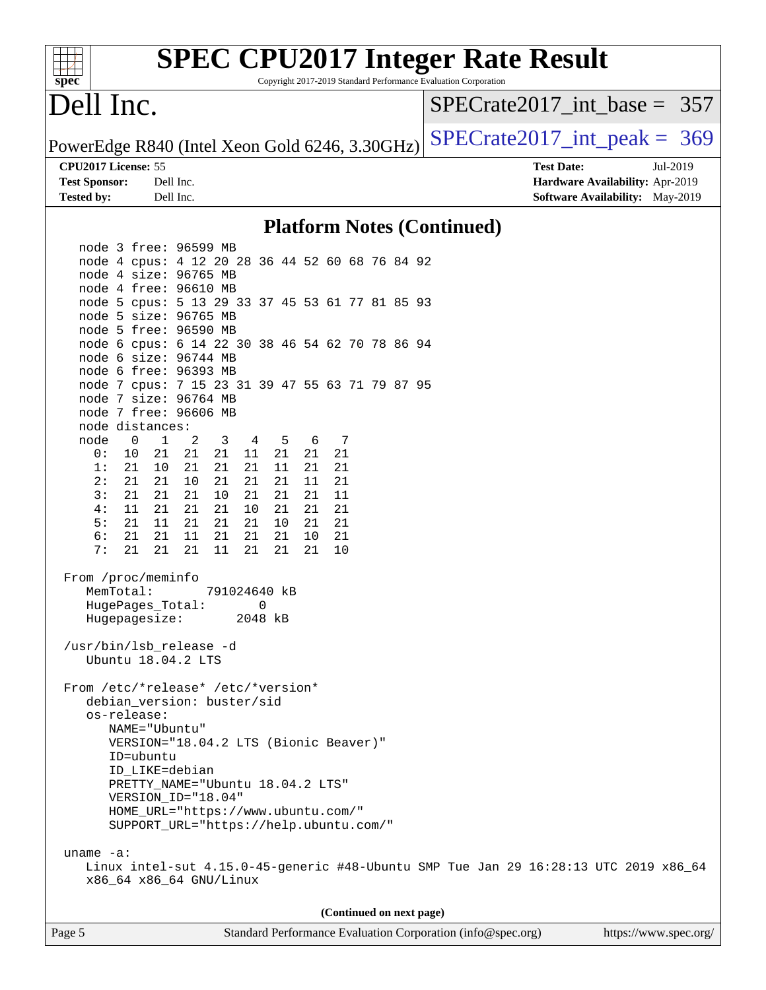| <b>SPEC CPU2017 Integer Rate Result</b>                                                                                                                        |                                                                                                     |
|----------------------------------------------------------------------------------------------------------------------------------------------------------------|-----------------------------------------------------------------------------------------------------|
| spec<br>Copyright 2017-2019 Standard Performance Evaluation Corporation<br>Dell Inc.                                                                           | $SPECrate2017$ int base = 357                                                                       |
| PowerEdge R840 (Intel Xeon Gold 6246, 3.30GHz)                                                                                                                 | $SPECrate2017\_int\_peak = 369$                                                                     |
| CPU2017 License: 55<br><b>Test Sponsor:</b><br>Dell Inc.<br><b>Tested by:</b><br>Dell Inc.                                                                     | <b>Test Date:</b><br>Jul-2019<br>Hardware Availability: Apr-2019<br>Software Availability: May-2019 |
| <b>Platform Notes (Continued)</b>                                                                                                                              |                                                                                                     |
| node 3 free: 96599 MB                                                                                                                                          |                                                                                                     |
| node 4 cpus: 4 12 20 28 36 44 52 60 68 76 84 92<br>node 4 size: 96765 MB<br>node 4 free: 96610 MB                                                              |                                                                                                     |
| node 5 cpus: 5 13 29 33 37 45 53 61 77 81 85 93<br>node 5 size: 96765 MB<br>node 5 free: 96590 MB                                                              |                                                                                                     |
| node 6 cpus: 6 14 22 30 38 46 54 62 70 78 86 94<br>node 6 size: 96744 MB                                                                                       |                                                                                                     |
| node 6 free: 96393 MB<br>node 7 cpus: 7 15 23 31 39 47 55 63 71 79 87 95<br>node 7 size: 96764 MB<br>node 7 free: 96606 MB                                     |                                                                                                     |
| node distances:<br>node<br>$\mathbf{0}$<br>$\mathbf 1$<br>2<br>3<br>6<br>7<br>4<br>5                                                                           |                                                                                                     |
| 0:<br>10<br>21<br>21<br>21<br>11<br>21<br>21<br>21<br>1:<br>21<br>21<br>21<br>21<br>11<br>21<br>21<br>10<br>2:<br>21<br>21<br>10<br>21<br>21<br>21<br>21<br>11 |                                                                                                     |
| 3:<br>21<br>21<br>21<br>21<br>10<br>21<br>21<br>11<br>11<br>21<br>21<br>21<br>21<br>21<br>21<br>4:<br>10                                                       |                                                                                                     |
| 5:<br>11<br>21<br>21<br>21<br>21<br>21<br>10<br>21<br>6:<br>21<br>21<br>11<br>21<br>21<br>21<br>10<br>21<br>7:<br>21<br>21<br>21<br>11<br>21<br>21<br>21<br>10 |                                                                                                     |
| From /proc/meminfo<br>MemTotal:<br>791024640 kB<br>0<br>HugePages_Total:<br>Hugepagesize:<br>2048 kB                                                           |                                                                                                     |
| /usr/bin/lsb_release -d<br>Ubuntu 18.04.2 LTS                                                                                                                  |                                                                                                     |
| From /etc/*release* /etc/*version*<br>debian_version: buster/sid<br>os-release:                                                                                |                                                                                                     |
| NAME="Ubuntu"<br>VERSION="18.04.2 LTS (Bionic Beaver)"<br>ID=ubuntu                                                                                            |                                                                                                     |
| ID LIKE=debian<br>PRETTY_NAME="Ubuntu 18.04.2 LTS"                                                                                                             |                                                                                                     |
| VERSION_ID="18.04"<br>HOME_URL="https://www.ubuntu.com/"<br>SUPPORT_URL="https://help.ubuntu.com/"                                                             |                                                                                                     |
| uname $-a$ :                                                                                                                                                   |                                                                                                     |
| Linux intel-sut 4.15.0-45-generic #48-Ubuntu SMP Tue Jan 29 16:28:13 UTC 2019 x86_64<br>x86_64 x86_64 GNU/Linux                                                |                                                                                                     |
| (Continued on next page)                                                                                                                                       |                                                                                                     |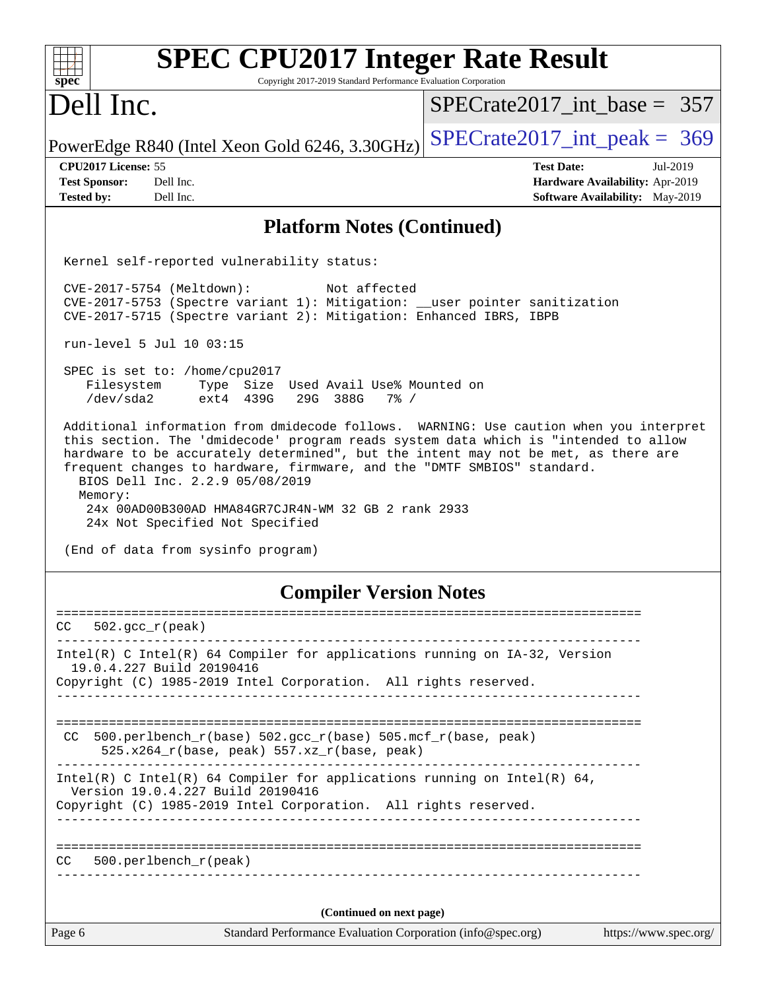| <b>SPEC CPU2017 Integer Rate Result</b><br>Copyright 2017-2019 Standard Performance Evaluation Corporation<br>$spec^*$                                                                                                                                                                                                                                                                                                                                                                 |                                 |
|----------------------------------------------------------------------------------------------------------------------------------------------------------------------------------------------------------------------------------------------------------------------------------------------------------------------------------------------------------------------------------------------------------------------------------------------------------------------------------------|---------------------------------|
| Dell Inc.                                                                                                                                                                                                                                                                                                                                                                                                                                                                              | $SPECrate2017$ int base = 357   |
| PowerEdge R840 (Intel Xeon Gold 6246, 3.30GHz)                                                                                                                                                                                                                                                                                                                                                                                                                                         | $SPECrate2017\_int\_peak = 369$ |
| CPU2017 License: 55                                                                                                                                                                                                                                                                                                                                                                                                                                                                    | <b>Test Date:</b><br>Jul-2019   |
| <b>Test Sponsor:</b><br>Dell Inc.                                                                                                                                                                                                                                                                                                                                                                                                                                                      | Hardware Availability: Apr-2019 |
| Dell Inc.<br><b>Tested by:</b>                                                                                                                                                                                                                                                                                                                                                                                                                                                         | Software Availability: May-2019 |
| <b>Platform Notes (Continued)</b>                                                                                                                                                                                                                                                                                                                                                                                                                                                      |                                 |
| Kernel self-reported vulnerability status:                                                                                                                                                                                                                                                                                                                                                                                                                                             |                                 |
| CVE-2017-5754 (Meltdown):<br>Not affected<br>CVE-2017-5753 (Spectre variant 1): Mitigation: __user pointer sanitization<br>CVE-2017-5715 (Spectre variant 2): Mitigation: Enhanced IBRS, IBPB                                                                                                                                                                                                                                                                                          |                                 |
| run-level 5 Jul 10 03:15                                                                                                                                                                                                                                                                                                                                                                                                                                                               |                                 |
| SPEC is set to: /home/cpu2017<br>Type Size Used Avail Use% Mounted on<br>Filesystem<br>/dev/sda2<br>ext4 439G<br>29G 388G<br>$7\frac{6}{9}$ /                                                                                                                                                                                                                                                                                                                                          |                                 |
| Additional information from dmidecode follows. WARNING: Use caution when you interpret<br>this section. The 'dmidecode' program reads system data which is "intended to allow<br>hardware to be accurately determined", but the intent may not be met, as there are<br>frequent changes to hardware, firmware, and the "DMTF SMBIOS" standard.<br>BIOS Dell Inc. 2.2.9 05/08/2019<br>Memory:<br>24x 00AD00B300AD HMA84GR7CJR4N-WM 32 GB 2 rank 2933<br>24x Not Specified Not Specified |                                 |
| (End of data from sysinfo program)                                                                                                                                                                                                                                                                                                                                                                                                                                                     |                                 |
| <b>Compiler Version Notes</b>                                                                                                                                                                                                                                                                                                                                                                                                                                                          |                                 |
| CC<br>$502. \text{gcc\_r}(\text{peak})$                                                                                                                                                                                                                                                                                                                                                                                                                                                |                                 |
| ________________________________<br>Intel(R) C Intel(R) 64 Compiler for applications running on IA-32, Version                                                                                                                                                                                                                                                                                                                                                                         |                                 |
| 19.0.4.227 Build 20190416                                                                                                                                                                                                                                                                                                                                                                                                                                                              |                                 |
| Copyright (C) 1985-2019 Intel Corporation. All rights reserved.                                                                                                                                                                                                                                                                                                                                                                                                                        |                                 |
|                                                                                                                                                                                                                                                                                                                                                                                                                                                                                        |                                 |
|                                                                                                                                                                                                                                                                                                                                                                                                                                                                                        |                                 |
| $500. perlbench_r(base) 502. gcc_r(base) 505. mcf_r(base, peak)$<br>CC.<br>525.x264_r(base, peak) 557.xz_r(base, peak)                                                                                                                                                                                                                                                                                                                                                                 |                                 |
| Intel(R) C Intel(R) 64 Compiler for applications running on Intel(R) 64,<br>Version 19.0.4.227 Build 20190416                                                                                                                                                                                                                                                                                                                                                                          |                                 |
| Copyright (C) 1985-2019 Intel Corporation. All rights reserved.                                                                                                                                                                                                                                                                                                                                                                                                                        |                                 |
| 500.perlbench_r(peak)<br>CC.                                                                                                                                                                                                                                                                                                                                                                                                                                                           |                                 |
|                                                                                                                                                                                                                                                                                                                                                                                                                                                                                        |                                 |
| (Continued on next page)                                                                                                                                                                                                                                                                                                                                                                                                                                                               |                                 |
| Standard Performance Evaluation Corporation (info@spec.org)<br>Page 6                                                                                                                                                                                                                                                                                                                                                                                                                  | https://www.spec.org/           |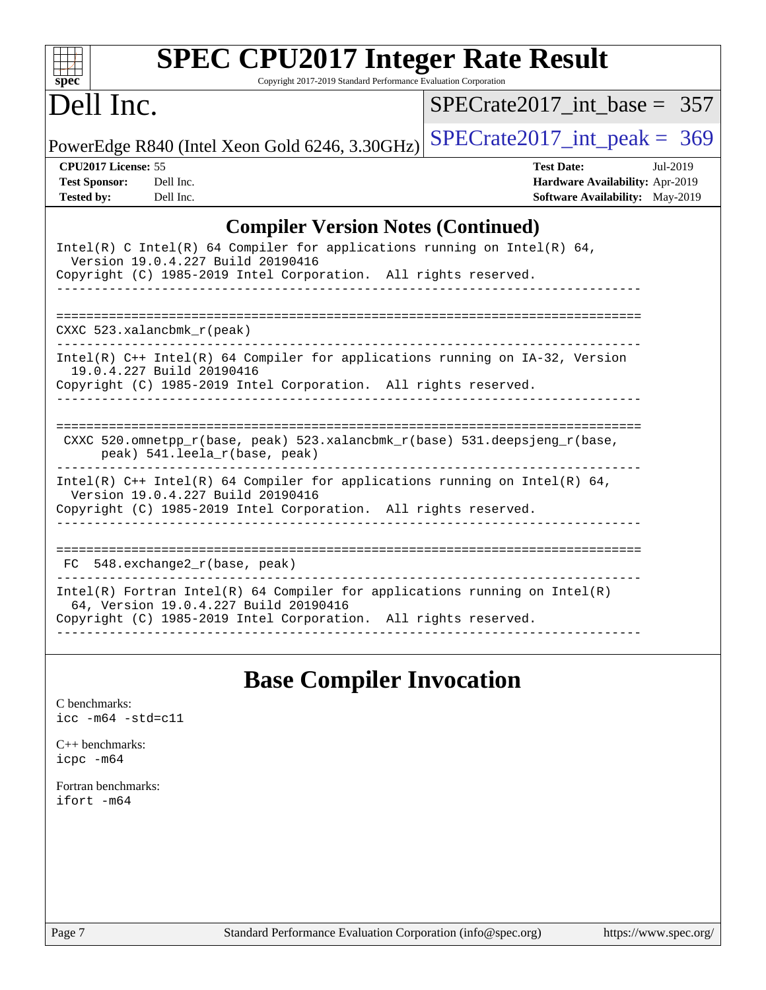| $spec^*$                                                         |                                   | <b>SPEC CPU2017 Integer Rate Result</b><br>Copyright 2017-2019 Standard Performance Evaluation Corporation                                      |                                                                                                                                                                                                                                   |                   |                                                                           |          |  |
|------------------------------------------------------------------|-----------------------------------|-------------------------------------------------------------------------------------------------------------------------------------------------|-----------------------------------------------------------------------------------------------------------------------------------------------------------------------------------------------------------------------------------|-------------------|---------------------------------------------------------------------------|----------|--|
| Dell Inc.                                                        |                                   |                                                                                                                                                 | $SPECTate2017$ int base = 357                                                                                                                                                                                                     |                   |                                                                           |          |  |
|                                                                  |                                   | PowerEdge R840 (Intel Xeon Gold 6246, 3.30GHz)                                                                                                  | $SPECTate2017\_int\_peak = 369$                                                                                                                                                                                                   |                   |                                                                           |          |  |
| CPU2017 License: 55<br><b>Test Sponsor:</b><br><b>Tested by:</b> | Dell Inc.<br>Dell Inc.            |                                                                                                                                                 |                                                                                                                                                                                                                                   | <b>Test Date:</b> | Hardware Availability: Apr-2019<br><b>Software Availability:</b> May-2019 | Jul-2019 |  |
|                                                                  |                                   | <b>Compiler Version Notes (Continued)</b>                                                                                                       |                                                                                                                                                                                                                                   |                   |                                                                           |          |  |
|                                                                  | Version 19.0.4.227 Build 20190416 | Intel(R) C Intel(R) 64 Compiler for applications running on Intel(R) 64,<br>Copyright (C) 1985-2019 Intel Corporation. All rights reserved.     |                                                                                                                                                                                                                                   |                   |                                                                           |          |  |
| $CXXC$ 523.xalancbmk $r$ (peak)                                  |                                   |                                                                                                                                                 |                                                                                                                                                                                                                                   |                   |                                                                           |          |  |
|                                                                  | 19.0.4.227 Build 20190416         | Intel(R) C++ Intel(R) 64 Compiler for applications running on IA-32, Version<br>Copyright (C) 1985-2019 Intel Corporation. All rights reserved. |                                                                                                                                                                                                                                   |                   |                                                                           |          |  |
|                                                                  | peak) 541.leela_r(base, peak)     | CXXC 520.omnetpp $r(base, peak)$ 523.xalancbmk $r(base)$ 531.deepsjeng $r(base)$ ,                                                              |                                                                                                                                                                                                                                   |                   |                                                                           |          |  |
|                                                                  | Version 19.0.4.227 Build 20190416 | Intel(R) $C++$ Intel(R) 64 Compiler for applications running on Intel(R) 64,                                                                    | $\mathbf{r}$ , and the contract of the contract of the contract of the contract of the contract of the contract of the contract of the contract of the contract of the contract of the contract of the contract of the contract o |                   |                                                                           |          |  |

Copyright (C) 1985-2019 Intel Corporation. All rights reserved. ------------------------------------------------------------------------------

|  | FC 548.exchange2 r(base, peak) |  |                                                                            |  |  |
|--|--------------------------------|--|----------------------------------------------------------------------------|--|--|
|  |                                |  | Intel(R) Fortran Intel(R) 64 Compiler for applications running on Intel(R) |  |  |

64, Version 19.0.4.227 Build 20190416

Copyright (C) 1985-2019 Intel Corporation. All rights reserved. ------------------------------------------------------------------------------

### **[Base Compiler Invocation](http://www.spec.org/auto/cpu2017/Docs/result-fields.html#BaseCompilerInvocation)**

[C benchmarks](http://www.spec.org/auto/cpu2017/Docs/result-fields.html#Cbenchmarks): [icc -m64 -std=c11](http://www.spec.org/cpu2017/results/res2019q3/cpu2017-20190722-16248.flags.html#user_CCbase_intel_icc_64bit_c11_33ee0cdaae7deeeab2a9725423ba97205ce30f63b9926c2519791662299b76a0318f32ddfffdc46587804de3178b4f9328c46fa7c2b0cd779d7a61945c91cd35)

[C++ benchmarks:](http://www.spec.org/auto/cpu2017/Docs/result-fields.html#CXXbenchmarks) [icpc -m64](http://www.spec.org/cpu2017/results/res2019q3/cpu2017-20190722-16248.flags.html#user_CXXbase_intel_icpc_64bit_4ecb2543ae3f1412ef961e0650ca070fec7b7afdcd6ed48761b84423119d1bf6bdf5cad15b44d48e7256388bc77273b966e5eb805aefd121eb22e9299b2ec9d9)

[Fortran benchmarks](http://www.spec.org/auto/cpu2017/Docs/result-fields.html#Fortranbenchmarks): [ifort -m64](http://www.spec.org/cpu2017/results/res2019q3/cpu2017-20190722-16248.flags.html#user_FCbase_intel_ifort_64bit_24f2bb282fbaeffd6157abe4f878425411749daecae9a33200eee2bee2fe76f3b89351d69a8130dd5949958ce389cf37ff59a95e7a40d588e8d3a57e0c3fd751)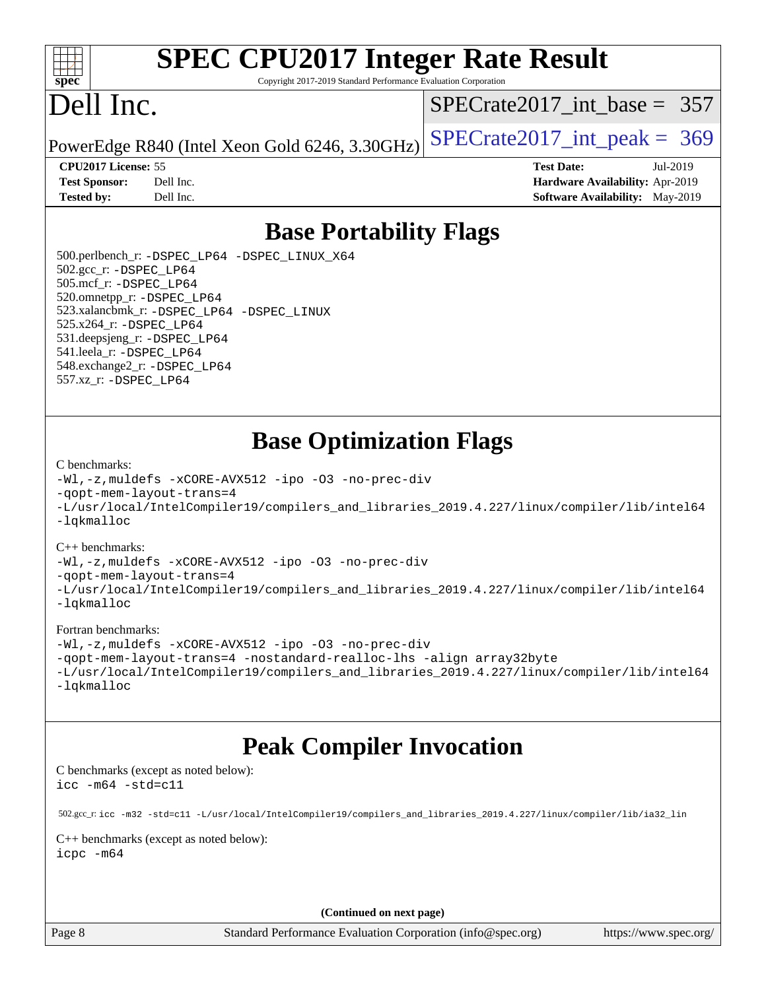

# **[SPEC CPU2017 Integer Rate Result](http://www.spec.org/auto/cpu2017/Docs/result-fields.html#SPECCPU2017IntegerRateResult)**

Copyright 2017-2019 Standard Performance Evaluation Corporation

## Dell Inc.

[SPECrate2017\\_int\\_base =](http://www.spec.org/auto/cpu2017/Docs/result-fields.html#SPECrate2017intbase) 357

PowerEdge R840 (Intel Xeon Gold 6246, 3.30GHz)  $\text{SPECrate}2017\_int\_peak = 369$ 

**[Test Sponsor:](http://www.spec.org/auto/cpu2017/Docs/result-fields.html#TestSponsor)** Dell Inc. **[Hardware Availability:](http://www.spec.org/auto/cpu2017/Docs/result-fields.html#HardwareAvailability)** Apr-2019 **[Tested by:](http://www.spec.org/auto/cpu2017/Docs/result-fields.html#Testedby)** Dell Inc. **[Software Availability:](http://www.spec.org/auto/cpu2017/Docs/result-fields.html#SoftwareAvailability)** May-2019

**[CPU2017 License:](http://www.spec.org/auto/cpu2017/Docs/result-fields.html#CPU2017License)** 55 **[Test Date:](http://www.spec.org/auto/cpu2017/Docs/result-fields.html#TestDate)** Jul-2019

**[Base Portability Flags](http://www.spec.org/auto/cpu2017/Docs/result-fields.html#BasePortabilityFlags)**

 500.perlbench\_r: [-DSPEC\\_LP64](http://www.spec.org/cpu2017/results/res2019q3/cpu2017-20190722-16248.flags.html#b500.perlbench_r_basePORTABILITY_DSPEC_LP64) [-DSPEC\\_LINUX\\_X64](http://www.spec.org/cpu2017/results/res2019q3/cpu2017-20190722-16248.flags.html#b500.perlbench_r_baseCPORTABILITY_DSPEC_LINUX_X64) 502.gcc\_r: [-DSPEC\\_LP64](http://www.spec.org/cpu2017/results/res2019q3/cpu2017-20190722-16248.flags.html#suite_basePORTABILITY502_gcc_r_DSPEC_LP64) 505.mcf\_r: [-DSPEC\\_LP64](http://www.spec.org/cpu2017/results/res2019q3/cpu2017-20190722-16248.flags.html#suite_basePORTABILITY505_mcf_r_DSPEC_LP64) 520.omnetpp\_r: [-DSPEC\\_LP64](http://www.spec.org/cpu2017/results/res2019q3/cpu2017-20190722-16248.flags.html#suite_basePORTABILITY520_omnetpp_r_DSPEC_LP64) 523.xalancbmk\_r: [-DSPEC\\_LP64](http://www.spec.org/cpu2017/results/res2019q3/cpu2017-20190722-16248.flags.html#suite_basePORTABILITY523_xalancbmk_r_DSPEC_LP64) [-DSPEC\\_LINUX](http://www.spec.org/cpu2017/results/res2019q3/cpu2017-20190722-16248.flags.html#b523.xalancbmk_r_baseCXXPORTABILITY_DSPEC_LINUX) 525.x264\_r: [-DSPEC\\_LP64](http://www.spec.org/cpu2017/results/res2019q3/cpu2017-20190722-16248.flags.html#suite_basePORTABILITY525_x264_r_DSPEC_LP64) 531.deepsjeng\_r: [-DSPEC\\_LP64](http://www.spec.org/cpu2017/results/res2019q3/cpu2017-20190722-16248.flags.html#suite_basePORTABILITY531_deepsjeng_r_DSPEC_LP64) 541.leela\_r: [-DSPEC\\_LP64](http://www.spec.org/cpu2017/results/res2019q3/cpu2017-20190722-16248.flags.html#suite_basePORTABILITY541_leela_r_DSPEC_LP64) 548.exchange2\_r: [-DSPEC\\_LP64](http://www.spec.org/cpu2017/results/res2019q3/cpu2017-20190722-16248.flags.html#suite_basePORTABILITY548_exchange2_r_DSPEC_LP64) 557.xz\_r: [-DSPEC\\_LP64](http://www.spec.org/cpu2017/results/res2019q3/cpu2017-20190722-16248.flags.html#suite_basePORTABILITY557_xz_r_DSPEC_LP64)

### **[Base Optimization Flags](http://www.spec.org/auto/cpu2017/Docs/result-fields.html#BaseOptimizationFlags)**

#### [C benchmarks](http://www.spec.org/auto/cpu2017/Docs/result-fields.html#Cbenchmarks):

[-Wl,-z,muldefs](http://www.spec.org/cpu2017/results/res2019q3/cpu2017-20190722-16248.flags.html#user_CCbase_link_force_multiple1_b4cbdb97b34bdee9ceefcfe54f4c8ea74255f0b02a4b23e853cdb0e18eb4525ac79b5a88067c842dd0ee6996c24547a27a4b99331201badda8798ef8a743f577) [-xCORE-AVX512](http://www.spec.org/cpu2017/results/res2019q3/cpu2017-20190722-16248.flags.html#user_CCbase_f-xCORE-AVX512) [-ipo](http://www.spec.org/cpu2017/results/res2019q3/cpu2017-20190722-16248.flags.html#user_CCbase_f-ipo) [-O3](http://www.spec.org/cpu2017/results/res2019q3/cpu2017-20190722-16248.flags.html#user_CCbase_f-O3) [-no-prec-div](http://www.spec.org/cpu2017/results/res2019q3/cpu2017-20190722-16248.flags.html#user_CCbase_f-no-prec-div) [-qopt-mem-layout-trans=4](http://www.spec.org/cpu2017/results/res2019q3/cpu2017-20190722-16248.flags.html#user_CCbase_f-qopt-mem-layout-trans_fa39e755916c150a61361b7846f310bcdf6f04e385ef281cadf3647acec3f0ae266d1a1d22d972a7087a248fd4e6ca390a3634700869573d231a252c784941a8) [-L/usr/local/IntelCompiler19/compilers\\_and\\_libraries\\_2019.4.227/linux/compiler/lib/intel64](http://www.spec.org/cpu2017/results/res2019q3/cpu2017-20190722-16248.flags.html#user_CCbase_qkmalloc_link_0ffe0cb02c68ef1b443a077c7888c10c67ca0d1dd7138472156f06a085bbad385f78d49618ad55dca9db3b1608e84afc2f69b4003b1d1ca498a9fc1462ccefda) [-lqkmalloc](http://www.spec.org/cpu2017/results/res2019q3/cpu2017-20190722-16248.flags.html#user_CCbase_qkmalloc_link_lib_79a818439969f771c6bc311cfd333c00fc099dad35c030f5aab9dda831713d2015205805422f83de8875488a2991c0a156aaa600e1f9138f8fc37004abc96dc5)

#### [C++ benchmarks](http://www.spec.org/auto/cpu2017/Docs/result-fields.html#CXXbenchmarks):

[-Wl,-z,muldefs](http://www.spec.org/cpu2017/results/res2019q3/cpu2017-20190722-16248.flags.html#user_CXXbase_link_force_multiple1_b4cbdb97b34bdee9ceefcfe54f4c8ea74255f0b02a4b23e853cdb0e18eb4525ac79b5a88067c842dd0ee6996c24547a27a4b99331201badda8798ef8a743f577) [-xCORE-AVX512](http://www.spec.org/cpu2017/results/res2019q3/cpu2017-20190722-16248.flags.html#user_CXXbase_f-xCORE-AVX512) [-ipo](http://www.spec.org/cpu2017/results/res2019q3/cpu2017-20190722-16248.flags.html#user_CXXbase_f-ipo) [-O3](http://www.spec.org/cpu2017/results/res2019q3/cpu2017-20190722-16248.flags.html#user_CXXbase_f-O3) [-no-prec-div](http://www.spec.org/cpu2017/results/res2019q3/cpu2017-20190722-16248.flags.html#user_CXXbase_f-no-prec-div)

[-qopt-mem-layout-trans=4](http://www.spec.org/cpu2017/results/res2019q3/cpu2017-20190722-16248.flags.html#user_CXXbase_f-qopt-mem-layout-trans_fa39e755916c150a61361b7846f310bcdf6f04e385ef281cadf3647acec3f0ae266d1a1d22d972a7087a248fd4e6ca390a3634700869573d231a252c784941a8)

[-L/usr/local/IntelCompiler19/compilers\\_and\\_libraries\\_2019.4.227/linux/compiler/lib/intel64](http://www.spec.org/cpu2017/results/res2019q3/cpu2017-20190722-16248.flags.html#user_CXXbase_qkmalloc_link_0ffe0cb02c68ef1b443a077c7888c10c67ca0d1dd7138472156f06a085bbad385f78d49618ad55dca9db3b1608e84afc2f69b4003b1d1ca498a9fc1462ccefda) [-lqkmalloc](http://www.spec.org/cpu2017/results/res2019q3/cpu2017-20190722-16248.flags.html#user_CXXbase_qkmalloc_link_lib_79a818439969f771c6bc311cfd333c00fc099dad35c030f5aab9dda831713d2015205805422f83de8875488a2991c0a156aaa600e1f9138f8fc37004abc96dc5)

#### [Fortran benchmarks](http://www.spec.org/auto/cpu2017/Docs/result-fields.html#Fortranbenchmarks):

[-Wl,-z,muldefs](http://www.spec.org/cpu2017/results/res2019q3/cpu2017-20190722-16248.flags.html#user_FCbase_link_force_multiple1_b4cbdb97b34bdee9ceefcfe54f4c8ea74255f0b02a4b23e853cdb0e18eb4525ac79b5a88067c842dd0ee6996c24547a27a4b99331201badda8798ef8a743f577) [-xCORE-AVX512](http://www.spec.org/cpu2017/results/res2019q3/cpu2017-20190722-16248.flags.html#user_FCbase_f-xCORE-AVX512) [-ipo](http://www.spec.org/cpu2017/results/res2019q3/cpu2017-20190722-16248.flags.html#user_FCbase_f-ipo) [-O3](http://www.spec.org/cpu2017/results/res2019q3/cpu2017-20190722-16248.flags.html#user_FCbase_f-O3) [-no-prec-div](http://www.spec.org/cpu2017/results/res2019q3/cpu2017-20190722-16248.flags.html#user_FCbase_f-no-prec-div) [-qopt-mem-layout-trans=4](http://www.spec.org/cpu2017/results/res2019q3/cpu2017-20190722-16248.flags.html#user_FCbase_f-qopt-mem-layout-trans_fa39e755916c150a61361b7846f310bcdf6f04e385ef281cadf3647acec3f0ae266d1a1d22d972a7087a248fd4e6ca390a3634700869573d231a252c784941a8) [-nostandard-realloc-lhs](http://www.spec.org/cpu2017/results/res2019q3/cpu2017-20190722-16248.flags.html#user_FCbase_f_2003_std_realloc_82b4557e90729c0f113870c07e44d33d6f5a304b4f63d4c15d2d0f1fab99f5daaed73bdb9275d9ae411527f28b936061aa8b9c8f2d63842963b95c9dd6426b8a) [-align array32byte](http://www.spec.org/cpu2017/results/res2019q3/cpu2017-20190722-16248.flags.html#user_FCbase_align_array32byte_b982fe038af199962ba9a80c053b8342c548c85b40b8e86eb3cc33dee0d7986a4af373ac2d51c3f7cf710a18d62fdce2948f201cd044323541f22fc0fffc51b6) [-L/usr/local/IntelCompiler19/compilers\\_and\\_libraries\\_2019.4.227/linux/compiler/lib/intel64](http://www.spec.org/cpu2017/results/res2019q3/cpu2017-20190722-16248.flags.html#user_FCbase_qkmalloc_link_0ffe0cb02c68ef1b443a077c7888c10c67ca0d1dd7138472156f06a085bbad385f78d49618ad55dca9db3b1608e84afc2f69b4003b1d1ca498a9fc1462ccefda) [-lqkmalloc](http://www.spec.org/cpu2017/results/res2019q3/cpu2017-20190722-16248.flags.html#user_FCbase_qkmalloc_link_lib_79a818439969f771c6bc311cfd333c00fc099dad35c030f5aab9dda831713d2015205805422f83de8875488a2991c0a156aaa600e1f9138f8fc37004abc96dc5)

### **[Peak Compiler Invocation](http://www.spec.org/auto/cpu2017/Docs/result-fields.html#PeakCompilerInvocation)**

[C benchmarks \(except as noted below\)](http://www.spec.org/auto/cpu2017/Docs/result-fields.html#Cbenchmarksexceptasnotedbelow): [icc -m64 -std=c11](http://www.spec.org/cpu2017/results/res2019q3/cpu2017-20190722-16248.flags.html#user_CCpeak_intel_icc_64bit_c11_33ee0cdaae7deeeab2a9725423ba97205ce30f63b9926c2519791662299b76a0318f32ddfffdc46587804de3178b4f9328c46fa7c2b0cd779d7a61945c91cd35)

 502.gcc\_r: [icc -m32 -std=c11 -L/usr/local/IntelCompiler19/compilers\\_and\\_libraries\\_2019.4.227/linux/compiler/lib/ia32\\_lin](http://www.spec.org/cpu2017/results/res2019q3/cpu2017-20190722-16248.flags.html#user_peakCCLD502_gcc_r_intel_icc_38a193a897536fa645efb1dc6ac2bea2bddbbe56f130e144a606d1b2649003f27c79f8814020c1f9355cbbf0d7ab0d194a7a979ee1e2a95641bbb8cf571aac7b) [C++ benchmarks \(except as noted below\)](http://www.spec.org/auto/cpu2017/Docs/result-fields.html#CXXbenchmarksexceptasnotedbelow):

[icpc -m64](http://www.spec.org/cpu2017/results/res2019q3/cpu2017-20190722-16248.flags.html#user_CXXpeak_intel_icpc_64bit_4ecb2543ae3f1412ef961e0650ca070fec7b7afdcd6ed48761b84423119d1bf6bdf5cad15b44d48e7256388bc77273b966e5eb805aefd121eb22e9299b2ec9d9)

**(Continued on next page)**

Page 8 Standard Performance Evaluation Corporation [\(info@spec.org\)](mailto:info@spec.org) <https://www.spec.org/>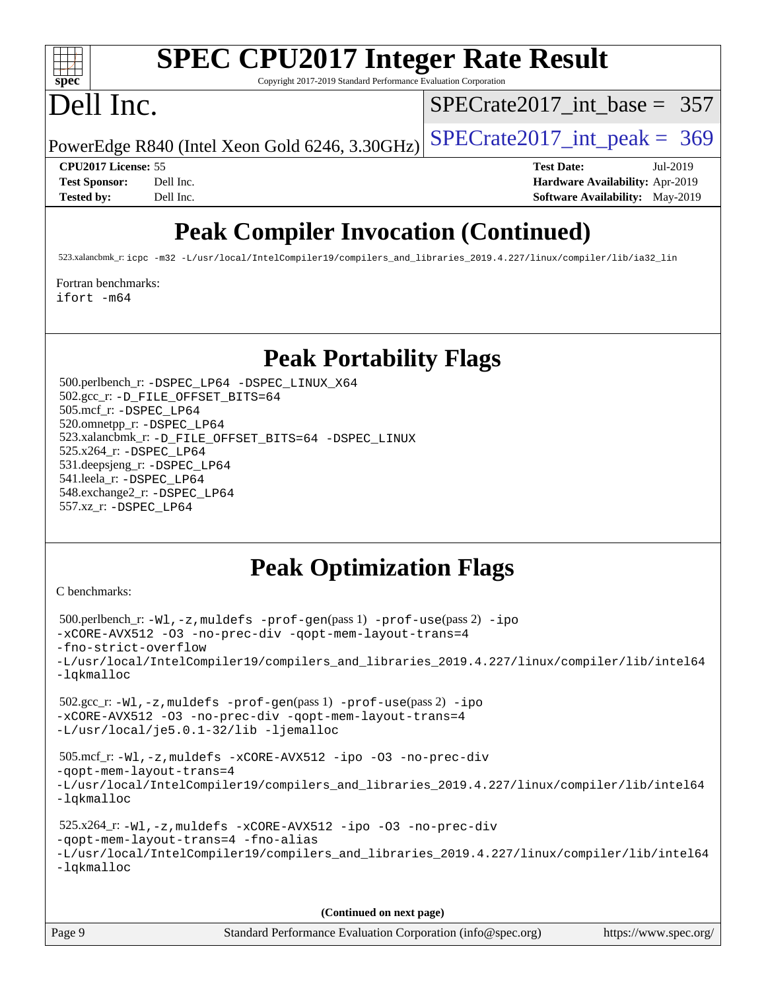

# **[SPEC CPU2017 Integer Rate Result](http://www.spec.org/auto/cpu2017/Docs/result-fields.html#SPECCPU2017IntegerRateResult)**

Copyright 2017-2019 Standard Performance Evaluation Corporation

## Dell Inc.

[SPECrate2017\\_int\\_base =](http://www.spec.org/auto/cpu2017/Docs/result-fields.html#SPECrate2017intbase) 357

PowerEdge R840 (Intel Xeon Gold 6246, 3.30GHz)  $SPECrate2017\_int\_peak = 369$ 

**[CPU2017 License:](http://www.spec.org/auto/cpu2017/Docs/result-fields.html#CPU2017License)** 55 **[Test Date:](http://www.spec.org/auto/cpu2017/Docs/result-fields.html#TestDate)** Jul-2019 **[Test Sponsor:](http://www.spec.org/auto/cpu2017/Docs/result-fields.html#TestSponsor)** Dell Inc. **[Hardware Availability:](http://www.spec.org/auto/cpu2017/Docs/result-fields.html#HardwareAvailability)** Apr-2019 **[Tested by:](http://www.spec.org/auto/cpu2017/Docs/result-fields.html#Testedby)** Dell Inc. Dell Inc. **[Software Availability:](http://www.spec.org/auto/cpu2017/Docs/result-fields.html#SoftwareAvailability)** May-2019

### **[Peak Compiler Invocation \(Continued\)](http://www.spec.org/auto/cpu2017/Docs/result-fields.html#PeakCompilerInvocation)**

523.xalancbmk\_r: [icpc -m32 -L/usr/local/IntelCompiler19/compilers\\_and\\_libraries\\_2019.4.227/linux/compiler/lib/ia32\\_lin](http://www.spec.org/cpu2017/results/res2019q3/cpu2017-20190722-16248.flags.html#user_peakCXXLD523_xalancbmk_r_intel_icpc_840f965b38320ad10acba6032d6ca4c816e722c432c250f3408feae347068ba449f694544a48cf12cd3bde3495e328e6747ab0f629c2925d3062e2ee144af951)

[Fortran benchmarks](http://www.spec.org/auto/cpu2017/Docs/result-fields.html#Fortranbenchmarks):

[ifort -m64](http://www.spec.org/cpu2017/results/res2019q3/cpu2017-20190722-16248.flags.html#user_FCpeak_intel_ifort_64bit_24f2bb282fbaeffd6157abe4f878425411749daecae9a33200eee2bee2fe76f3b89351d69a8130dd5949958ce389cf37ff59a95e7a40d588e8d3a57e0c3fd751)

### **[Peak Portability Flags](http://www.spec.org/auto/cpu2017/Docs/result-fields.html#PeakPortabilityFlags)**

 500.perlbench\_r: [-DSPEC\\_LP64](http://www.spec.org/cpu2017/results/res2019q3/cpu2017-20190722-16248.flags.html#b500.perlbench_r_peakPORTABILITY_DSPEC_LP64) [-DSPEC\\_LINUX\\_X64](http://www.spec.org/cpu2017/results/res2019q3/cpu2017-20190722-16248.flags.html#b500.perlbench_r_peakCPORTABILITY_DSPEC_LINUX_X64) 502.gcc\_r: [-D\\_FILE\\_OFFSET\\_BITS=64](http://www.spec.org/cpu2017/results/res2019q3/cpu2017-20190722-16248.flags.html#user_peakPORTABILITY502_gcc_r_file_offset_bits_64_5ae949a99b284ddf4e95728d47cb0843d81b2eb0e18bdfe74bbf0f61d0b064f4bda2f10ea5eb90e1dcab0e84dbc592acfc5018bc955c18609f94ddb8d550002c) 505.mcf\_r: [-DSPEC\\_LP64](http://www.spec.org/cpu2017/results/res2019q3/cpu2017-20190722-16248.flags.html#suite_peakPORTABILITY505_mcf_r_DSPEC_LP64) 520.omnetpp\_r: [-DSPEC\\_LP64](http://www.spec.org/cpu2017/results/res2019q3/cpu2017-20190722-16248.flags.html#suite_peakPORTABILITY520_omnetpp_r_DSPEC_LP64) 523.xalancbmk\_r: [-D\\_FILE\\_OFFSET\\_BITS=64](http://www.spec.org/cpu2017/results/res2019q3/cpu2017-20190722-16248.flags.html#user_peakPORTABILITY523_xalancbmk_r_file_offset_bits_64_5ae949a99b284ddf4e95728d47cb0843d81b2eb0e18bdfe74bbf0f61d0b064f4bda2f10ea5eb90e1dcab0e84dbc592acfc5018bc955c18609f94ddb8d550002c) [-DSPEC\\_LINUX](http://www.spec.org/cpu2017/results/res2019q3/cpu2017-20190722-16248.flags.html#b523.xalancbmk_r_peakCXXPORTABILITY_DSPEC_LINUX) 525.x264\_r: [-DSPEC\\_LP64](http://www.spec.org/cpu2017/results/res2019q3/cpu2017-20190722-16248.flags.html#suite_peakPORTABILITY525_x264_r_DSPEC_LP64) 531.deepsjeng\_r: [-DSPEC\\_LP64](http://www.spec.org/cpu2017/results/res2019q3/cpu2017-20190722-16248.flags.html#suite_peakPORTABILITY531_deepsjeng_r_DSPEC_LP64) 541.leela\_r: [-DSPEC\\_LP64](http://www.spec.org/cpu2017/results/res2019q3/cpu2017-20190722-16248.flags.html#suite_peakPORTABILITY541_leela_r_DSPEC_LP64) 548.exchange2\_r: [-DSPEC\\_LP64](http://www.spec.org/cpu2017/results/res2019q3/cpu2017-20190722-16248.flags.html#suite_peakPORTABILITY548_exchange2_r_DSPEC_LP64) 557.xz\_r: [-DSPEC\\_LP64](http://www.spec.org/cpu2017/results/res2019q3/cpu2017-20190722-16248.flags.html#suite_peakPORTABILITY557_xz_r_DSPEC_LP64)

### **[Peak Optimization Flags](http://www.spec.org/auto/cpu2017/Docs/result-fields.html#PeakOptimizationFlags)**

[C benchmarks](http://www.spec.org/auto/cpu2017/Docs/result-fields.html#Cbenchmarks):

```
 500.perlbench_r: -Wl,-z,muldefs -prof-gen(pass 1) -prof-use(pass 2) -ipo
-xCORE-AVX512 -O3 -no-prec-div -qopt-mem-layout-trans=4
-fno-strict-overflow
-L/usr/local/IntelCompiler19/compilers_and_libraries_2019.4.227/linux/compiler/lib/intel64
-lqkmalloc
 502.gcc_r: -Wl,-z,muldefs -prof-gen(pass 1) -prof-use(pass 2) -ipo
-xCORE-AVX512 -O3 -no-prec-div -qopt-mem-layout-trans=4
-L/usr/local/je5.0.1-32/lib -ljemalloc
 505.mcf_r: -Wl,-z,muldefs -xCORE-AVX512 -ipo -O3 -no-prec-div
-qopt-mem-layout-trans=4
-L/usr/local/IntelCompiler19/compilers_and_libraries_2019.4.227/linux/compiler/lib/intel64
-lqkmalloc
 525.x264_r: -Wl,-z,muldefs -xCORE-AVX512 -ipo -O3 -no-prec-div
-qopt-mem-layout-trans=4 -fno-alias
-L/usr/local/IntelCompiler19/compilers_and_libraries_2019.4.227/linux/compiler/lib/intel64
-lqkmalloc
```
**(Continued on next page)**

| Page 9 | Standard Performance Evaluation Corporation (info@spec.org) | https://www.spec.org/ |
|--------|-------------------------------------------------------------|-----------------------|
|--------|-------------------------------------------------------------|-----------------------|